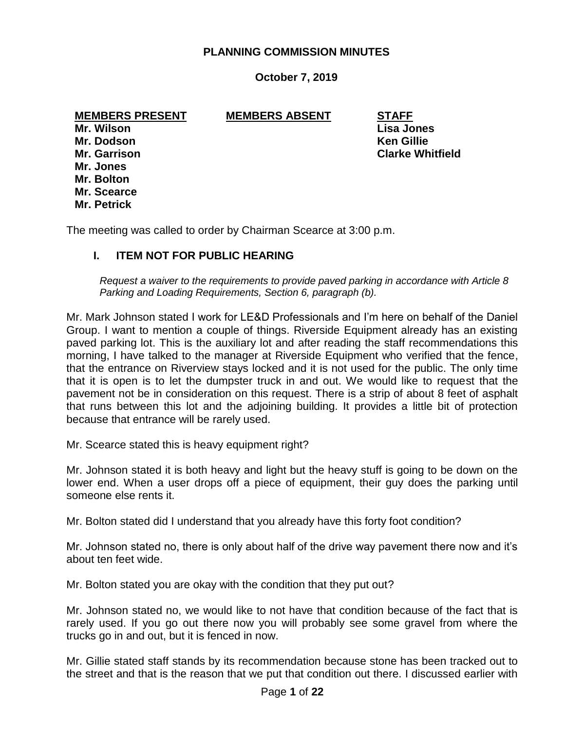## **PLANNING COMMISSION MINUTES**

# **October 7, 2019**

#### **MEMBERS PRESENT MEMBERS ABSENT STAFF**

**Mr. Wilson Lisa Jones Mr. Dodson Ken Gillie Mr. Jones Mr. Bolton Mr. Scearce Mr. Petrick**

**Mr. Garrison Clarke Whitfield**

The meeting was called to order by Chairman Scearce at 3:00 p.m.

## **I. ITEM NOT FOR PUBLIC HEARING**

*Request a waiver to the requirements to provide paved parking in accordance with Article 8 Parking and Loading Requirements, Section 6, paragraph (b).*

Mr. Mark Johnson stated I work for LE&D Professionals and I'm here on behalf of the Daniel Group. I want to mention a couple of things. Riverside Equipment already has an existing paved parking lot. This is the auxiliary lot and after reading the staff recommendations this morning, I have talked to the manager at Riverside Equipment who verified that the fence, that the entrance on Riverview stays locked and it is not used for the public. The only time that it is open is to let the dumpster truck in and out. We would like to request that the pavement not be in consideration on this request. There is a strip of about 8 feet of asphalt that runs between this lot and the adjoining building. It provides a little bit of protection because that entrance will be rarely used.

Mr. Scearce stated this is heavy equipment right?

Mr. Johnson stated it is both heavy and light but the heavy stuff is going to be down on the lower end. When a user drops off a piece of equipment, their guy does the parking until someone else rents it.

Mr. Bolton stated did I understand that you already have this forty foot condition?

Mr. Johnson stated no, there is only about half of the drive way pavement there now and it's about ten feet wide.

Mr. Bolton stated you are okay with the condition that they put out?

Mr. Johnson stated no, we would like to not have that condition because of the fact that is rarely used. If you go out there now you will probably see some gravel from where the trucks go in and out, but it is fenced in now.

Mr. Gillie stated staff stands by its recommendation because stone has been tracked out to the street and that is the reason that we put that condition out there. I discussed earlier with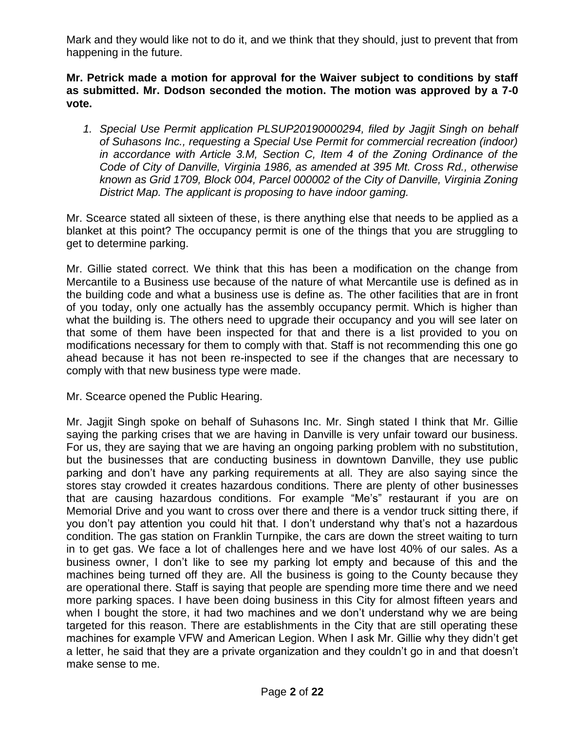Mark and they would like not to do it, and we think that they should, just to prevent that from happening in the future.

**Mr. Petrick made a motion for approval for the Waiver subject to conditions by staff as submitted. Mr. Dodson seconded the motion. The motion was approved by a 7-0 vote.**

*1. Special Use Permit application PLSUP20190000294, filed by Jagjit Singh on behalf of Suhasons Inc., requesting a Special Use Permit for commercial recreation (indoor) in accordance with Article 3.M, Section C, Item 4 of the Zoning Ordinance of the Code of City of Danville, Virginia 1986, as amended at 395 Mt. Cross Rd., otherwise known as Grid 1709, Block 004, Parcel 000002 of the City of Danville, Virginia Zoning District Map. The applicant is proposing to have indoor gaming.*

Mr. Scearce stated all sixteen of these, is there anything else that needs to be applied as a blanket at this point? The occupancy permit is one of the things that you are struggling to get to determine parking.

Mr. Gillie stated correct. We think that this has been a modification on the change from Mercantile to a Business use because of the nature of what Mercantile use is defined as in the building code and what a business use is define as. The other facilities that are in front of you today, only one actually has the assembly occupancy permit. Which is higher than what the building is. The others need to upgrade their occupancy and you will see later on that some of them have been inspected for that and there is a list provided to you on modifications necessary for them to comply with that. Staff is not recommending this one go ahead because it has not been re-inspected to see if the changes that are necessary to comply with that new business type were made.

Mr. Scearce opened the Public Hearing.

Mr. Jagjit Singh spoke on behalf of Suhasons Inc. Mr. Singh stated I think that Mr. Gillie saying the parking crises that we are having in Danville is very unfair toward our business. For us, they are saying that we are having an ongoing parking problem with no substitution, but the businesses that are conducting business in downtown Danville, they use public parking and don't have any parking requirements at all. They are also saying since the stores stay crowded it creates hazardous conditions. There are plenty of other businesses that are causing hazardous conditions. For example "Me's" restaurant if you are on Memorial Drive and you want to cross over there and there is a vendor truck sitting there, if you don't pay attention you could hit that. I don't understand why that's not a hazardous condition. The gas station on Franklin Turnpike, the cars are down the street waiting to turn in to get gas. We face a lot of challenges here and we have lost 40% of our sales. As a business owner, I don't like to see my parking lot empty and because of this and the machines being turned off they are. All the business is going to the County because they are operational there. Staff is saying that people are spending more time there and we need more parking spaces. I have been doing business in this City for almost fifteen years and when I bought the store, it had two machines and we don't understand why we are being targeted for this reason. There are establishments in the City that are still operating these machines for example VFW and American Legion. When I ask Mr. Gillie why they didn't get a letter, he said that they are a private organization and they couldn't go in and that doesn't make sense to me.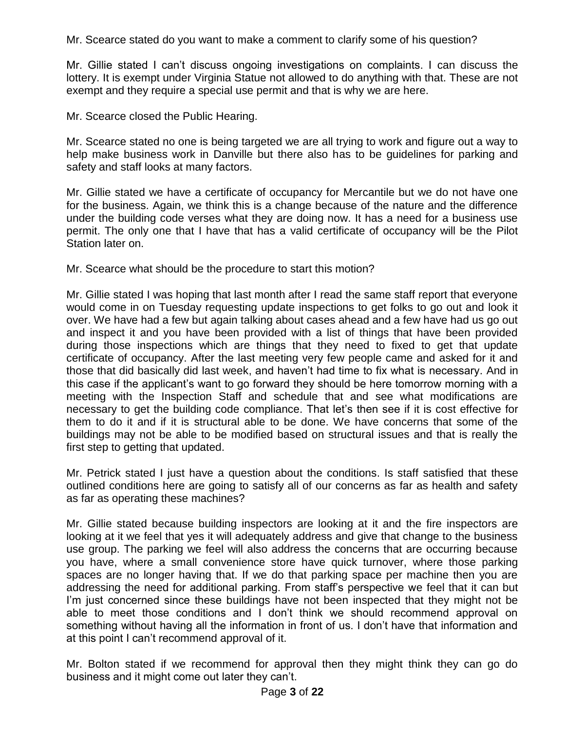Mr. Scearce stated do you want to make a comment to clarify some of his question?

Mr. Gillie stated I can't discuss ongoing investigations on complaints. I can discuss the lottery. It is exempt under Virginia Statue not allowed to do anything with that. These are not exempt and they require a special use permit and that is why we are here.

Mr. Scearce closed the Public Hearing.

Mr. Scearce stated no one is being targeted we are all trying to work and figure out a way to help make business work in Danville but there also has to be guidelines for parking and safety and staff looks at many factors.

Mr. Gillie stated we have a certificate of occupancy for Mercantile but we do not have one for the business. Again, we think this is a change because of the nature and the difference under the building code verses what they are doing now. It has a need for a business use permit. The only one that I have that has a valid certificate of occupancy will be the Pilot Station later on.

Mr. Scearce what should be the procedure to start this motion?

Mr. Gillie stated I was hoping that last month after I read the same staff report that everyone would come in on Tuesday requesting update inspections to get folks to go out and look it over. We have had a few but again talking about cases ahead and a few have had us go out and inspect it and you have been provided with a list of things that have been provided during those inspections which are things that they need to fixed to get that update certificate of occupancy. After the last meeting very few people came and asked for it and those that did basically did last week, and haven't had time to fix what is necessary. And in this case if the applicant's want to go forward they should be here tomorrow morning with a meeting with the Inspection Staff and schedule that and see what modifications are necessary to get the building code compliance. That let's then see if it is cost effective for them to do it and if it is structural able to be done. We have concerns that some of the buildings may not be able to be modified based on structural issues and that is really the first step to getting that updated.

Mr. Petrick stated I just have a question about the conditions. Is staff satisfied that these outlined conditions here are going to satisfy all of our concerns as far as health and safety as far as operating these machines?

Mr. Gillie stated because building inspectors are looking at it and the fire inspectors are looking at it we feel that yes it will adequately address and give that change to the business use group. The parking we feel will also address the concerns that are occurring because you have, where a small convenience store have quick turnover, where those parking spaces are no longer having that. If we do that parking space per machine then you are addressing the need for additional parking. From staff's perspective we feel that it can but I'm just concerned since these buildings have not been inspected that they might not be able to meet those conditions and I don't think we should recommend approval on something without having all the information in front of us. I don't have that information and at this point I can't recommend approval of it.

Mr. Bolton stated if we recommend for approval then they might think they can go do business and it might come out later they can't.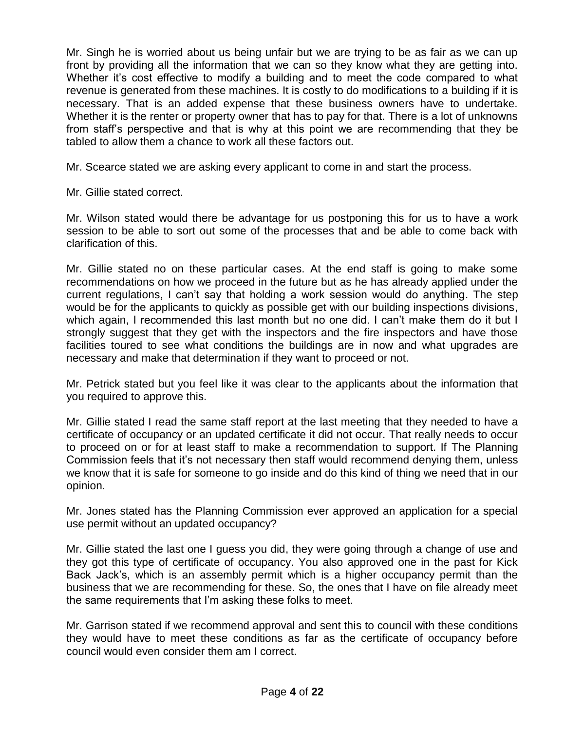Mr. Singh he is worried about us being unfair but we are trying to be as fair as we can up front by providing all the information that we can so they know what they are getting into. Whether it's cost effective to modify a building and to meet the code compared to what revenue is generated from these machines. It is costly to do modifications to a building if it is necessary. That is an added expense that these business owners have to undertake. Whether it is the renter or property owner that has to pay for that. There is a lot of unknowns from staff's perspective and that is why at this point we are recommending that they be tabled to allow them a chance to work all these factors out.

Mr. Scearce stated we are asking every applicant to come in and start the process.

Mr. Gillie stated correct.

Mr. Wilson stated would there be advantage for us postponing this for us to have a work session to be able to sort out some of the processes that and be able to come back with clarification of this.

Mr. Gillie stated no on these particular cases. At the end staff is going to make some recommendations on how we proceed in the future but as he has already applied under the current regulations, I can't say that holding a work session would do anything. The step would be for the applicants to quickly as possible get with our building inspections divisions, which again, I recommended this last month but no one did. I can't make them do it but I strongly suggest that they get with the inspectors and the fire inspectors and have those facilities toured to see what conditions the buildings are in now and what upgrades are necessary and make that determination if they want to proceed or not.

Mr. Petrick stated but you feel like it was clear to the applicants about the information that you required to approve this.

Mr. Gillie stated I read the same staff report at the last meeting that they needed to have a certificate of occupancy or an updated certificate it did not occur. That really needs to occur to proceed on or for at least staff to make a recommendation to support. If The Planning Commission feels that it's not necessary then staff would recommend denying them, unless we know that it is safe for someone to go inside and do this kind of thing we need that in our opinion.

Mr. Jones stated has the Planning Commission ever approved an application for a special use permit without an updated occupancy?

Mr. Gillie stated the last one I guess you did, they were going through a change of use and they got this type of certificate of occupancy. You also approved one in the past for Kick Back Jack's, which is an assembly permit which is a higher occupancy permit than the business that we are recommending for these. So, the ones that I have on file already meet the same requirements that I'm asking these folks to meet.

Mr. Garrison stated if we recommend approval and sent this to council with these conditions they would have to meet these conditions as far as the certificate of occupancy before council would even consider them am I correct.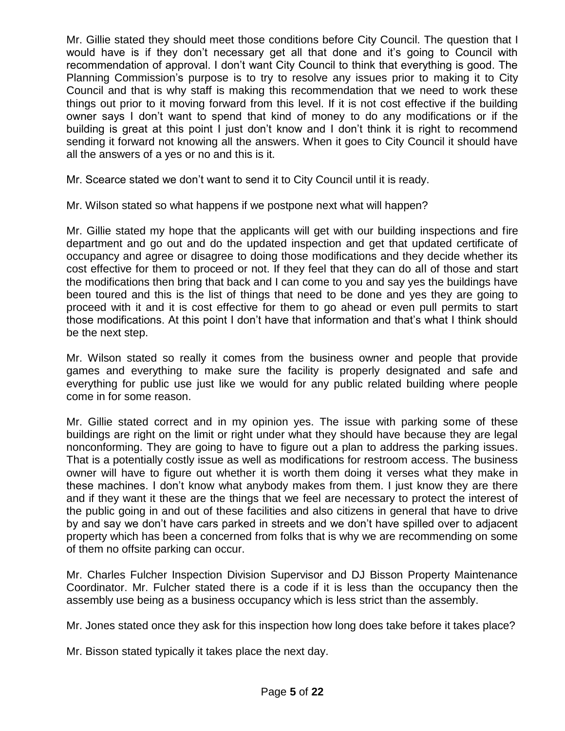Mr. Gillie stated they should meet those conditions before City Council. The question that I would have is if they don't necessary get all that done and it's going to Council with recommendation of approval. I don't want City Council to think that everything is good. The Planning Commission's purpose is to try to resolve any issues prior to making it to City Council and that is why staff is making this recommendation that we need to work these things out prior to it moving forward from this level. If it is not cost effective if the building owner says I don't want to spend that kind of money to do any modifications or if the building is great at this point I just don't know and I don't think it is right to recommend sending it forward not knowing all the answers. When it goes to City Council it should have all the answers of a yes or no and this is it.

Mr. Scearce stated we don't want to send it to City Council until it is ready.

Mr. Wilson stated so what happens if we postpone next what will happen?

Mr. Gillie stated my hope that the applicants will get with our building inspections and fire department and go out and do the updated inspection and get that updated certificate of occupancy and agree or disagree to doing those modifications and they decide whether its cost effective for them to proceed or not. If they feel that they can do all of those and start the modifications then bring that back and I can come to you and say yes the buildings have been toured and this is the list of things that need to be done and yes they are going to proceed with it and it is cost effective for them to go ahead or even pull permits to start those modifications. At this point I don't have that information and that's what I think should be the next step.

Mr. Wilson stated so really it comes from the business owner and people that provide games and everything to make sure the facility is properly designated and safe and everything for public use just like we would for any public related building where people come in for some reason.

Mr. Gillie stated correct and in my opinion yes. The issue with parking some of these buildings are right on the limit or right under what they should have because they are legal nonconforming. They are going to have to figure out a plan to address the parking issues. That is a potentially costly issue as well as modifications for restroom access. The business owner will have to figure out whether it is worth them doing it verses what they make in these machines. I don't know what anybody makes from them. I just know they are there and if they want it these are the things that we feel are necessary to protect the interest of the public going in and out of these facilities and also citizens in general that have to drive by and say we don't have cars parked in streets and we don't have spilled over to adjacent property which has been a concerned from folks that is why we are recommending on some of them no offsite parking can occur.

Mr. Charles Fulcher Inspection Division Supervisor and DJ Bisson Property Maintenance Coordinator. Mr. Fulcher stated there is a code if it is less than the occupancy then the assembly use being as a business occupancy which is less strict than the assembly.

Mr. Jones stated once they ask for this inspection how long does take before it takes place?

Mr. Bisson stated typically it takes place the next day.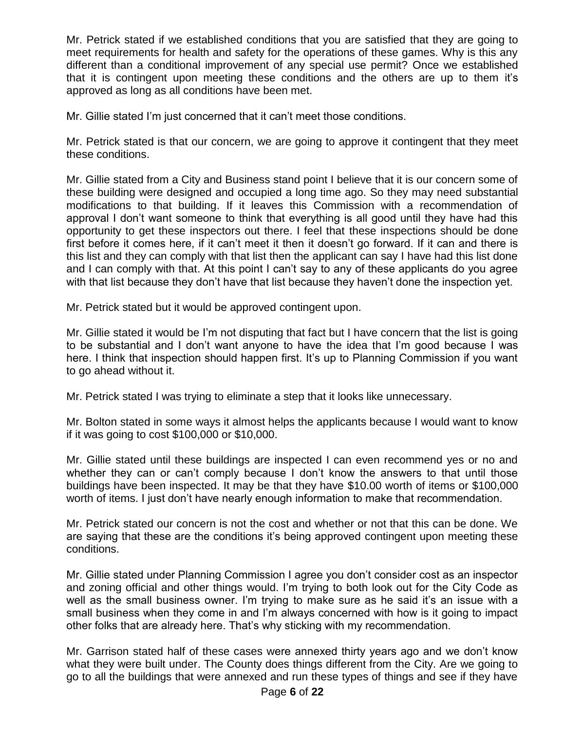Mr. Petrick stated if we established conditions that you are satisfied that they are going to meet requirements for health and safety for the operations of these games. Why is this any different than a conditional improvement of any special use permit? Once we established that it is contingent upon meeting these conditions and the others are up to them it's approved as long as all conditions have been met.

Mr. Gillie stated I'm just concerned that it can't meet those conditions.

Mr. Petrick stated is that our concern, we are going to approve it contingent that they meet these conditions.

Mr. Gillie stated from a City and Business stand point I believe that it is our concern some of these building were designed and occupied a long time ago. So they may need substantial modifications to that building. If it leaves this Commission with a recommendation of approval I don't want someone to think that everything is all good until they have had this opportunity to get these inspectors out there. I feel that these inspections should be done first before it comes here, if it can't meet it then it doesn't go forward. If it can and there is this list and they can comply with that list then the applicant can say I have had this list done and I can comply with that. At this point I can't say to any of these applicants do you agree with that list because they don't have that list because they haven't done the inspection yet.

Mr. Petrick stated but it would be approved contingent upon.

Mr. Gillie stated it would be I'm not disputing that fact but I have concern that the list is going to be substantial and I don't want anyone to have the idea that I'm good because I was here. I think that inspection should happen first. It's up to Planning Commission if you want to go ahead without it.

Mr. Petrick stated I was trying to eliminate a step that it looks like unnecessary.

Mr. Bolton stated in some ways it almost helps the applicants because I would want to know if it was going to cost \$100,000 or \$10,000.

Mr. Gillie stated until these buildings are inspected I can even recommend yes or no and whether they can or can't comply because I don't know the answers to that until those buildings have been inspected. It may be that they have \$10.00 worth of items or \$100,000 worth of items. I just don't have nearly enough information to make that recommendation.

Mr. Petrick stated our concern is not the cost and whether or not that this can be done. We are saying that these are the conditions it's being approved contingent upon meeting these conditions.

Mr. Gillie stated under Planning Commission I agree you don't consider cost as an inspector and zoning official and other things would. I'm trying to both look out for the City Code as well as the small business owner. I'm trying to make sure as he said it's an issue with a small business when they come in and I'm always concerned with how is it going to impact other folks that are already here. That's why sticking with my recommendation.

Mr. Garrison stated half of these cases were annexed thirty years ago and we don't know what they were built under. The County does things different from the City. Are we going to go to all the buildings that were annexed and run these types of things and see if they have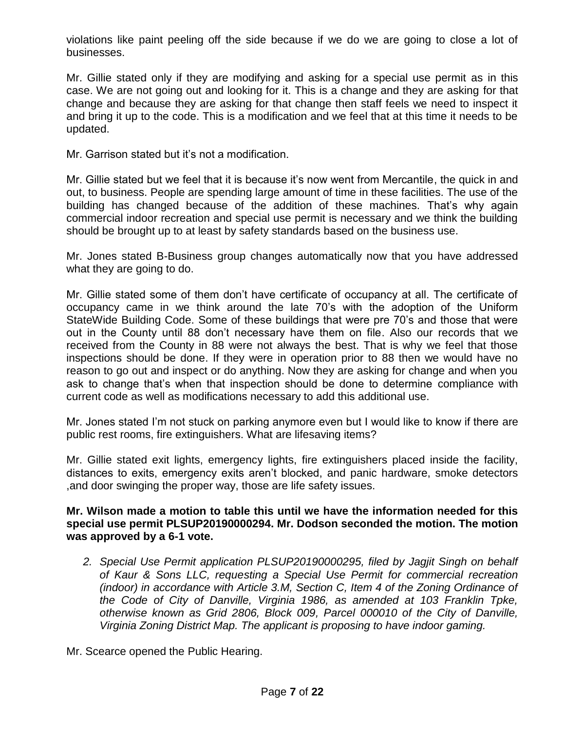violations like paint peeling off the side because if we do we are going to close a lot of businesses.

Mr. Gillie stated only if they are modifying and asking for a special use permit as in this case. We are not going out and looking for it. This is a change and they are asking for that change and because they are asking for that change then staff feels we need to inspect it and bring it up to the code. This is a modification and we feel that at this time it needs to be updated.

Mr. Garrison stated but it's not a modification.

Mr. Gillie stated but we feel that it is because it's now went from Mercantile, the quick in and out, to business. People are spending large amount of time in these facilities. The use of the building has changed because of the addition of these machines. That's why again commercial indoor recreation and special use permit is necessary and we think the building should be brought up to at least by safety standards based on the business use.

Mr. Jones stated B-Business group changes automatically now that you have addressed what they are going to do.

Mr. Gillie stated some of them don't have certificate of occupancy at all. The certificate of occupancy came in we think around the late 70's with the adoption of the Uniform StateWide Building Code. Some of these buildings that were pre 70's and those that were out in the County until 88 don't necessary have them on file. Also our records that we received from the County in 88 were not always the best. That is why we feel that those inspections should be done. If they were in operation prior to 88 then we would have no reason to go out and inspect or do anything. Now they are asking for change and when you ask to change that's when that inspection should be done to determine compliance with current code as well as modifications necessary to add this additional use.

Mr. Jones stated I'm not stuck on parking anymore even but I would like to know if there are public rest rooms, fire extinguishers. What are lifesaving items?

Mr. Gillie stated exit lights, emergency lights, fire extinguishers placed inside the facility, distances to exits, emergency exits aren't blocked, and panic hardware, smoke detectors ,and door swinging the proper way, those are life safety issues.

#### **Mr. Wilson made a motion to table this until we have the information needed for this special use permit PLSUP20190000294. Mr. Dodson seconded the motion. The motion was approved by a 6-1 vote.**

*2. Special Use Permit application PLSUP20190000295, filed by Jagjit Singh on behalf of Kaur & Sons LLC, requesting a Special Use Permit for commercial recreation (indoor) in accordance with Article 3.M, Section C, Item 4 of the Zoning Ordinance of the Code of City of Danville, Virginia 1986, as amended at 103 Franklin Tpke, otherwise known as Grid 2806, Block 009, Parcel 000010 of the City of Danville, Virginia Zoning District Map. The applicant is proposing to have indoor gaming.*

Mr. Scearce opened the Public Hearing.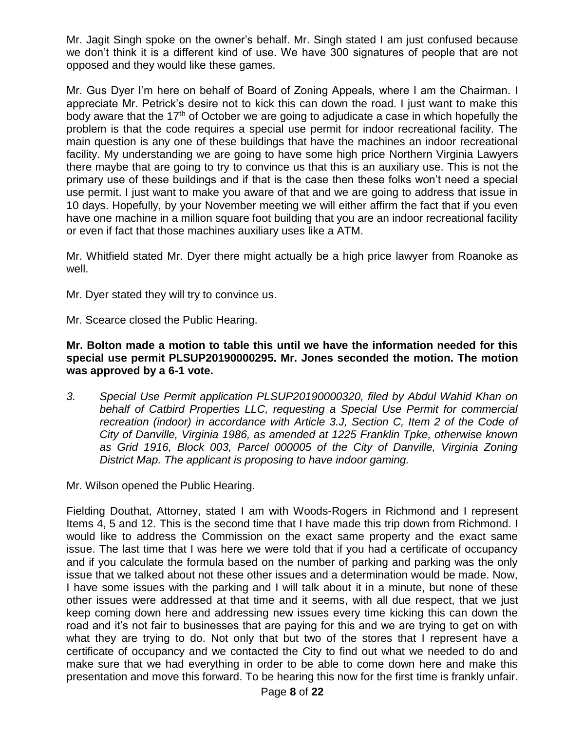Mr. Jagit Singh spoke on the owner's behalf. Mr. Singh stated I am just confused because we don't think it is a different kind of use. We have 300 signatures of people that are not opposed and they would like these games.

Mr. Gus Dyer I'm here on behalf of Board of Zoning Appeals, where I am the Chairman. I appreciate Mr. Petrick's desire not to kick this can down the road. I just want to make this body aware that the 17<sup>th</sup> of October we are going to adjudicate a case in which hopefully the problem is that the code requires a special use permit for indoor recreational facility. The main question is any one of these buildings that have the machines an indoor recreational facility. My understanding we are going to have some high price Northern Virginia Lawyers there maybe that are going to try to convince us that this is an auxiliary use. This is not the primary use of these buildings and if that is the case then these folks won't need a special use permit. I just want to make you aware of that and we are going to address that issue in 10 days. Hopefully, by your November meeting we will either affirm the fact that if you even have one machine in a million square foot building that you are an indoor recreational facility or even if fact that those machines auxiliary uses like a ATM.

Mr. Whitfield stated Mr. Dyer there might actually be a high price lawyer from Roanoke as well.

Mr. Dyer stated they will try to convince us.

Mr. Scearce closed the Public Hearing.

#### **Mr. Bolton made a motion to table this until we have the information needed for this special use permit PLSUP20190000295. Mr. Jones seconded the motion. The motion was approved by a 6-1 vote.**

*3. Special Use Permit application PLSUP20190000320, filed by Abdul Wahid Khan on behalf of Catbird Properties LLC, requesting a Special Use Permit for commercial recreation (indoor) in accordance with Article 3.J, Section C, Item 2 of the Code of City of Danville, Virginia 1986, as amended at 1225 Franklin Tpke, otherwise known as Grid 1916, Block 003, Parcel 000005 of the City of Danville, Virginia Zoning District Map. The applicant is proposing to have indoor gaming.*

Mr. Wilson opened the Public Hearing.

Fielding Douthat, Attorney, stated I am with Woods-Rogers in Richmond and I represent Items 4, 5 and 12. This is the second time that I have made this trip down from Richmond. I would like to address the Commission on the exact same property and the exact same issue. The last time that I was here we were told that if you had a certificate of occupancy and if you calculate the formula based on the number of parking and parking was the only issue that we talked about not these other issues and a determination would be made. Now, I have some issues with the parking and I will talk about it in a minute, but none of these other issues were addressed at that time and it seems, with all due respect, that we just keep coming down here and addressing new issues every time kicking this can down the road and it's not fair to businesses that are paying for this and we are trying to get on with what they are trying to do. Not only that but two of the stores that I represent have a certificate of occupancy and we contacted the City to find out what we needed to do and make sure that we had everything in order to be able to come down here and make this presentation and move this forward. To be hearing this now for the first time is frankly unfair.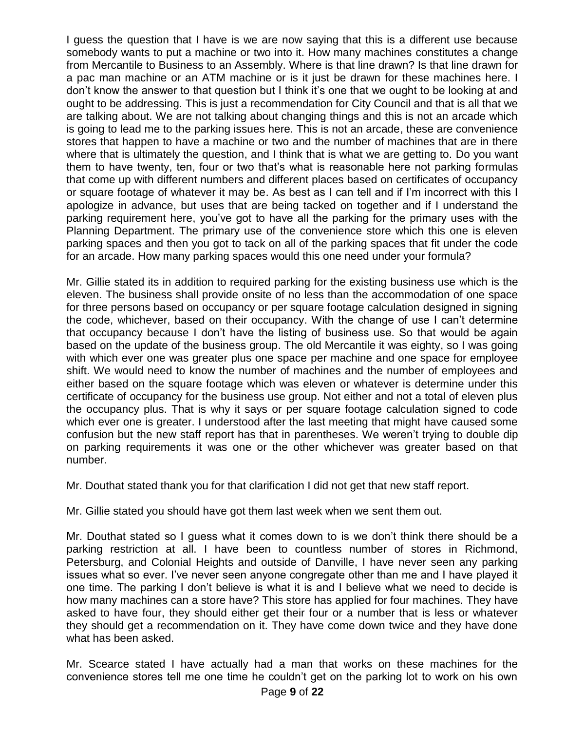I guess the question that I have is we are now saying that this is a different use because somebody wants to put a machine or two into it. How many machines constitutes a change from Mercantile to Business to an Assembly. Where is that line drawn? Is that line drawn for a pac man machine or an ATM machine or is it just be drawn for these machines here. I don't know the answer to that question but I think it's one that we ought to be looking at and ought to be addressing. This is just a recommendation for City Council and that is all that we are talking about. We are not talking about changing things and this is not an arcade which is going to lead me to the parking issues here. This is not an arcade, these are convenience stores that happen to have a machine or two and the number of machines that are in there where that is ultimately the question, and I think that is what we are getting to. Do you want them to have twenty, ten, four or two that's what is reasonable here not parking formulas that come up with different numbers and different places based on certificates of occupancy or square footage of whatever it may be. As best as I can tell and if I'm incorrect with this I apologize in advance, but uses that are being tacked on together and if I understand the parking requirement here, you've got to have all the parking for the primary uses with the Planning Department. The primary use of the convenience store which this one is eleven parking spaces and then you got to tack on all of the parking spaces that fit under the code for an arcade. How many parking spaces would this one need under your formula?

Mr. Gillie stated its in addition to required parking for the existing business use which is the eleven. The business shall provide onsite of no less than the accommodation of one space for three persons based on occupancy or per square footage calculation designed in signing the code, whichever, based on their occupancy. With the change of use I can't determine that occupancy because I don't have the listing of business use. So that would be again based on the update of the business group. The old Mercantile it was eighty, so I was going with which ever one was greater plus one space per machine and one space for employee shift. We would need to know the number of machines and the number of employees and either based on the square footage which was eleven or whatever is determine under this certificate of occupancy for the business use group. Not either and not a total of eleven plus the occupancy plus. That is why it says or per square footage calculation signed to code which ever one is greater. I understood after the last meeting that might have caused some confusion but the new staff report has that in parentheses. We weren't trying to double dip on parking requirements it was one or the other whichever was greater based on that number.

Mr. Douthat stated thank you for that clarification I did not get that new staff report.

Mr. Gillie stated you should have got them last week when we sent them out.

Mr. Douthat stated so I guess what it comes down to is we don't think there should be a parking restriction at all. I have been to countless number of stores in Richmond, Petersburg, and Colonial Heights and outside of Danville, I have never seen any parking issues what so ever. I've never seen anyone congregate other than me and I have played it one time. The parking I don't believe is what it is and I believe what we need to decide is how many machines can a store have? This store has applied for four machines. They have asked to have four, they should either get their four or a number that is less or whatever they should get a recommendation on it. They have come down twice and they have done what has been asked.

Mr. Scearce stated I have actually had a man that works on these machines for the convenience stores tell me one time he couldn't get on the parking lot to work on his own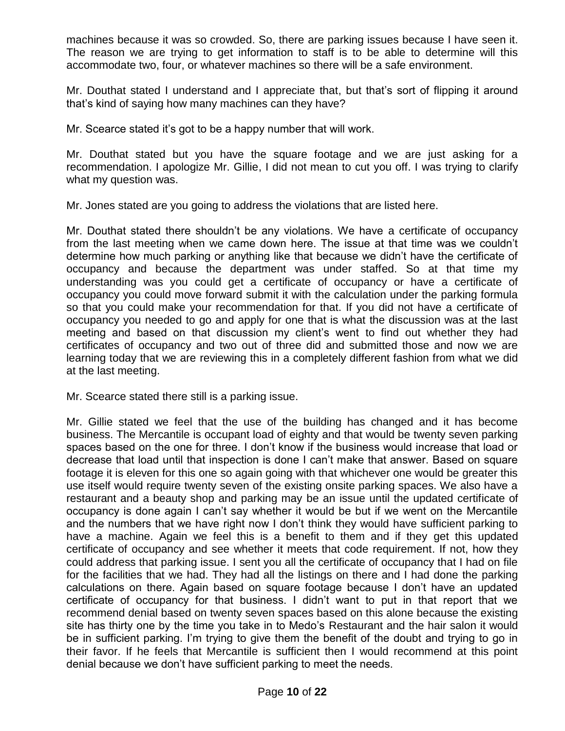machines because it was so crowded. So, there are parking issues because I have seen it. The reason we are trying to get information to staff is to be able to determine will this accommodate two, four, or whatever machines so there will be a safe environment.

Mr. Douthat stated I understand and I appreciate that, but that's sort of flipping it around that's kind of saying how many machines can they have?

Mr. Scearce stated it's got to be a happy number that will work.

Mr. Douthat stated but you have the square footage and we are just asking for a recommendation. I apologize Mr. Gillie, I did not mean to cut you off. I was trying to clarify what my question was.

Mr. Jones stated are you going to address the violations that are listed here.

Mr. Douthat stated there shouldn't be any violations. We have a certificate of occupancy from the last meeting when we came down here. The issue at that time was we couldn't determine how much parking or anything like that because we didn't have the certificate of occupancy and because the department was under staffed. So at that time my understanding was you could get a certificate of occupancy or have a certificate of occupancy you could move forward submit it with the calculation under the parking formula so that you could make your recommendation for that. If you did not have a certificate of occupancy you needed to go and apply for one that is what the discussion was at the last meeting and based on that discussion my client's went to find out whether they had certificates of occupancy and two out of three did and submitted those and now we are learning today that we are reviewing this in a completely different fashion from what we did at the last meeting.

Mr. Scearce stated there still is a parking issue.

Mr. Gillie stated we feel that the use of the building has changed and it has become business. The Mercantile is occupant load of eighty and that would be twenty seven parking spaces based on the one for three. I don't know if the business would increase that load or decrease that load until that inspection is done I can't make that answer. Based on square footage it is eleven for this one so again going with that whichever one would be greater this use itself would require twenty seven of the existing onsite parking spaces. We also have a restaurant and a beauty shop and parking may be an issue until the updated certificate of occupancy is done again I can't say whether it would be but if we went on the Mercantile and the numbers that we have right now I don't think they would have sufficient parking to have a machine. Again we feel this is a benefit to them and if they get this updated certificate of occupancy and see whether it meets that code requirement. If not, how they could address that parking issue. I sent you all the certificate of occupancy that I had on file for the facilities that we had. They had all the listings on there and I had done the parking calculations on there. Again based on square footage because I don't have an updated certificate of occupancy for that business. I didn't want to put in that report that we recommend denial based on twenty seven spaces based on this alone because the existing site has thirty one by the time you take in to Medo's Restaurant and the hair salon it would be in sufficient parking. I'm trying to give them the benefit of the doubt and trying to go in their favor. If he feels that Mercantile is sufficient then I would recommend at this point denial because we don't have sufficient parking to meet the needs.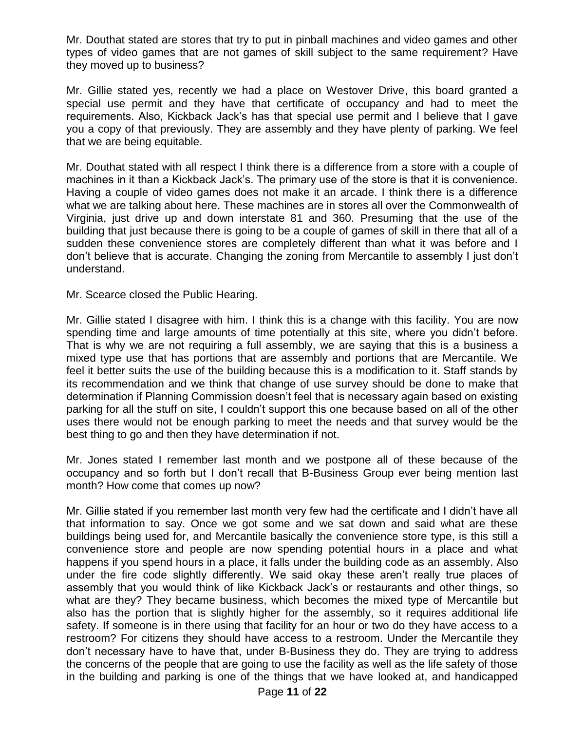Mr. Douthat stated are stores that try to put in pinball machines and video games and other types of video games that are not games of skill subject to the same requirement? Have they moved up to business?

Mr. Gillie stated yes, recently we had a place on Westover Drive, this board granted a special use permit and they have that certificate of occupancy and had to meet the requirements. Also, Kickback Jack's has that special use permit and I believe that I gave you a copy of that previously. They are assembly and they have plenty of parking. We feel that we are being equitable.

Mr. Douthat stated with all respect I think there is a difference from a store with a couple of machines in it than a Kickback Jack's. The primary use of the store is that it is convenience. Having a couple of video games does not make it an arcade. I think there is a difference what we are talking about here. These machines are in stores all over the Commonwealth of Virginia, just drive up and down interstate 81 and 360. Presuming that the use of the building that just because there is going to be a couple of games of skill in there that all of a sudden these convenience stores are completely different than what it was before and I don't believe that is accurate. Changing the zoning from Mercantile to assembly I just don't understand.

Mr. Scearce closed the Public Hearing.

Mr. Gillie stated I disagree with him. I think this is a change with this facility. You are now spending time and large amounts of time potentially at this site, where you didn't before. That is why we are not requiring a full assembly, we are saying that this is a business a mixed type use that has portions that are assembly and portions that are Mercantile. We feel it better suits the use of the building because this is a modification to it. Staff stands by its recommendation and we think that change of use survey should be done to make that determination if Planning Commission doesn't feel that is necessary again based on existing parking for all the stuff on site, I couldn't support this one because based on all of the other uses there would not be enough parking to meet the needs and that survey would be the best thing to go and then they have determination if not.

Mr. Jones stated I remember last month and we postpone all of these because of the occupancy and so forth but I don't recall that B-Business Group ever being mention last month? How come that comes up now?

Mr. Gillie stated if you remember last month very few had the certificate and I didn't have all that information to say. Once we got some and we sat down and said what are these buildings being used for, and Mercantile basically the convenience store type, is this still a convenience store and people are now spending potential hours in a place and what happens if you spend hours in a place, it falls under the building code as an assembly. Also under the fire code slightly differently. We said okay these aren't really true places of assembly that you would think of like Kickback Jack's or restaurants and other things, so what are they? They became business, which becomes the mixed type of Mercantile but also has the portion that is slightly higher for the assembly, so it requires additional life safety. If someone is in there using that facility for an hour or two do they have access to a restroom? For citizens they should have access to a restroom. Under the Mercantile they don't necessary have to have that, under B-Business they do. They are trying to address the concerns of the people that are going to use the facility as well as the life safety of those in the building and parking is one of the things that we have looked at, and handicapped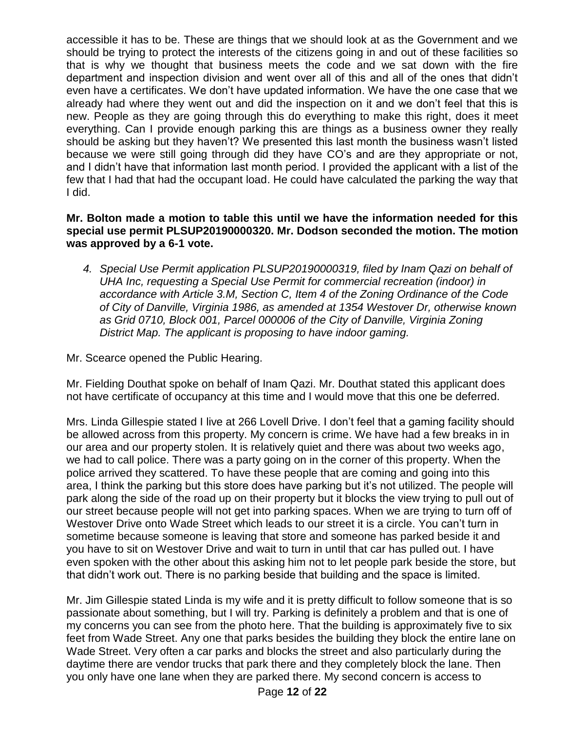accessible it has to be. These are things that we should look at as the Government and we should be trying to protect the interests of the citizens going in and out of these facilities so that is why we thought that business meets the code and we sat down with the fire department and inspection division and went over all of this and all of the ones that didn't even have a certificates. We don't have updated information. We have the one case that we already had where they went out and did the inspection on it and we don't feel that this is new. People as they are going through this do everything to make this right, does it meet everything. Can I provide enough parking this are things as a business owner they really should be asking but they haven't? We presented this last month the business wasn't listed because we were still going through did they have CO's and are they appropriate or not, and I didn't have that information last month period. I provided the applicant with a list of the few that I had that had the occupant load. He could have calculated the parking the way that I did.

### **Mr. Bolton made a motion to table this until we have the information needed for this special use permit PLSUP20190000320. Mr. Dodson seconded the motion. The motion was approved by a 6-1 vote.**

*4. Special Use Permit application PLSUP20190000319, filed by Inam Qazi on behalf of UHA Inc, requesting a Special Use Permit for commercial recreation (indoor) in accordance with Article 3.M, Section C, Item 4 of the Zoning Ordinance of the Code of City of Danville, Virginia 1986, as amended at 1354 Westover Dr, otherwise known as Grid 0710, Block 001, Parcel 000006 of the City of Danville, Virginia Zoning District Map. The applicant is proposing to have indoor gaming.*

Mr. Scearce opened the Public Hearing.

Mr. Fielding Douthat spoke on behalf of Inam Qazi. Mr. Douthat stated this applicant does not have certificate of occupancy at this time and I would move that this one be deferred.

Mrs. Linda Gillespie stated I live at 266 Lovell Drive. I don't feel that a gaming facility should be allowed across from this property. My concern is crime. We have had a few breaks in in our area and our property stolen. It is relatively quiet and there was about two weeks ago, we had to call police. There was a party going on in the corner of this property. When the police arrived they scattered. To have these people that are coming and going into this area, I think the parking but this store does have parking but it's not utilized. The people will park along the side of the road up on their property but it blocks the view trying to pull out of our street because people will not get into parking spaces. When we are trying to turn off of Westover Drive onto Wade Street which leads to our street it is a circle. You can't turn in sometime because someone is leaving that store and someone has parked beside it and you have to sit on Westover Drive and wait to turn in until that car has pulled out. I have even spoken with the other about this asking him not to let people park beside the store, but that didn't work out. There is no parking beside that building and the space is limited.

Mr. Jim Gillespie stated Linda is my wife and it is pretty difficult to follow someone that is so passionate about something, but I will try. Parking is definitely a problem and that is one of my concerns you can see from the photo here. That the building is approximately five to six feet from Wade Street. Any one that parks besides the building they block the entire lane on Wade Street. Very often a car parks and blocks the street and also particularly during the daytime there are vendor trucks that park there and they completely block the lane. Then you only have one lane when they are parked there. My second concern is access to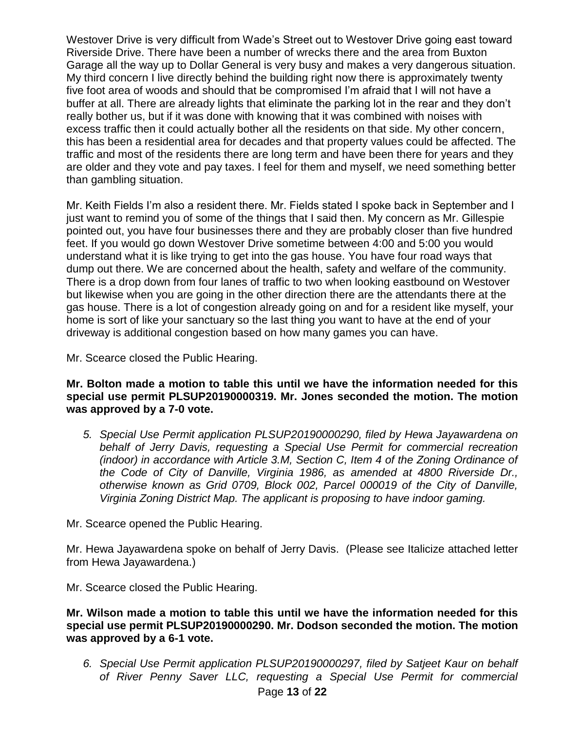Westover Drive is very difficult from Wade's Street out to Westover Drive going east toward Riverside Drive. There have been a number of wrecks there and the area from Buxton Garage all the way up to Dollar General is very busy and makes a very dangerous situation. My third concern I live directly behind the building right now there is approximately twenty five foot area of woods and should that be compromised I'm afraid that I will not have a buffer at all. There are already lights that eliminate the parking lot in the rear and they don't really bother us, but if it was done with knowing that it was combined with noises with excess traffic then it could actually bother all the residents on that side. My other concern, this has been a residential area for decades and that property values could be affected. The traffic and most of the residents there are long term and have been there for years and they are older and they vote and pay taxes. I feel for them and myself, we need something better than gambling situation.

Mr. Keith Fields I'm also a resident there. Mr. Fields stated I spoke back in September and I just want to remind you of some of the things that I said then. My concern as Mr. Gillespie pointed out, you have four businesses there and they are probably closer than five hundred feet. If you would go down Westover Drive sometime between 4:00 and 5:00 you would understand what it is like trying to get into the gas house. You have four road ways that dump out there. We are concerned about the health, safety and welfare of the community. There is a drop down from four lanes of traffic to two when looking eastbound on Westover but likewise when you are going in the other direction there are the attendants there at the gas house. There is a lot of congestion already going on and for a resident like myself, your home is sort of like your sanctuary so the last thing you want to have at the end of your driveway is additional congestion based on how many games you can have.

Mr. Scearce closed the Public Hearing.

**Mr. Bolton made a motion to table this until we have the information needed for this special use permit PLSUP20190000319. Mr. Jones seconded the motion. The motion was approved by a 7-0 vote.**

*5. Special Use Permit application PLSUP20190000290, filed by Hewa Jayawardena on behalf of Jerry Davis, requesting a Special Use Permit for commercial recreation (indoor) in accordance with Article 3.M, Section C, Item 4 of the Zoning Ordinance of the Code of City of Danville, Virginia 1986, as amended at 4800 Riverside Dr., otherwise known as Grid 0709, Block 002, Parcel 000019 of the City of Danville, Virginia Zoning District Map. The applicant is proposing to have indoor gaming.*

Mr. Scearce opened the Public Hearing.

Mr. Hewa Jayawardena spoke on behalf of Jerry Davis. (Please see Italicize attached letter from Hewa Jayawardena.)

Mr. Scearce closed the Public Hearing.

**Mr. Wilson made a motion to table this until we have the information needed for this special use permit PLSUP20190000290. Mr. Dodson seconded the motion. The motion was approved by a 6-1 vote.**

Page **13** of **22** *6. Special Use Permit application PLSUP20190000297, filed by Satjeet Kaur on behalf of River Penny Saver LLC, requesting a Special Use Permit for commercial*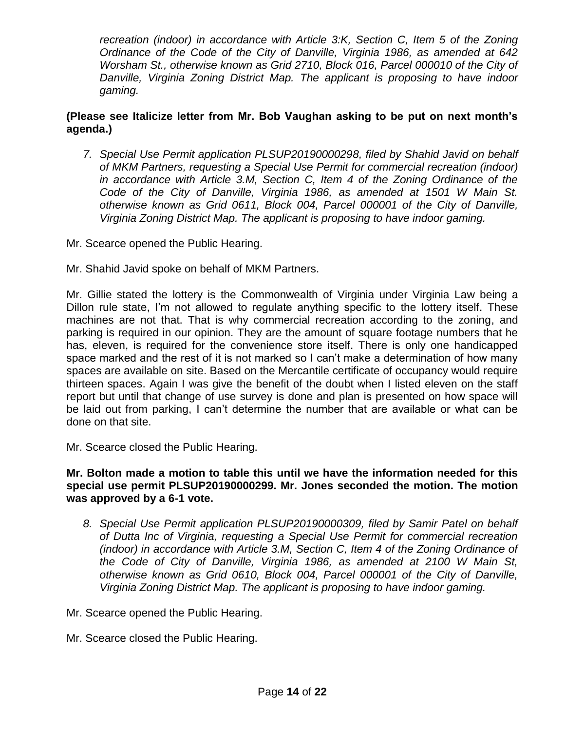*recreation (indoor) in accordance with Article 3:K, Section C, Item 5 of the Zoning Ordinance of the Code of the City of Danville, Virginia 1986, as amended at 642 Worsham St., otherwise known as Grid 2710, Block 016, Parcel 000010 of the City of Danville, Virginia Zoning District Map. The applicant is proposing to have indoor gaming.*

# **(Please see Italicize letter from Mr. Bob Vaughan asking to be put on next month's agenda.)**

- *7. Special Use Permit application PLSUP20190000298, filed by Shahid Javid on behalf of MKM Partners, requesting a Special Use Permit for commercial recreation (indoor) in accordance with Article 3.M, Section C, Item 4 of the Zoning Ordinance of the Code of the City of Danville, Virginia 1986, as amended at 1501 W Main St. otherwise known as Grid 0611, Block 004, Parcel 000001 of the City of Danville, Virginia Zoning District Map. The applicant is proposing to have indoor gaming.*
- Mr. Scearce opened the Public Hearing.
- Mr. Shahid Javid spoke on behalf of MKM Partners.

Mr. Gillie stated the lottery is the Commonwealth of Virginia under Virginia Law being a Dillon rule state, I'm not allowed to regulate anything specific to the lottery itself. These machines are not that. That is why commercial recreation according to the zoning, and parking is required in our opinion. They are the amount of square footage numbers that he has, eleven, is required for the convenience store itself. There is only one handicapped space marked and the rest of it is not marked so I can't make a determination of how many spaces are available on site. Based on the Mercantile certificate of occupancy would require thirteen spaces. Again I was give the benefit of the doubt when I listed eleven on the staff report but until that change of use survey is done and plan is presented on how space will be laid out from parking, I can't determine the number that are available or what can be done on that site.

Mr. Scearce closed the Public Hearing.

#### **Mr. Bolton made a motion to table this until we have the information needed for this special use permit PLSUP20190000299. Mr. Jones seconded the motion. The motion was approved by a 6-1 vote.**

- *8. Special Use Permit application PLSUP20190000309, filed by Samir Patel on behalf of Dutta Inc of Virginia, requesting a Special Use Permit for commercial recreation (indoor) in accordance with Article 3.M, Section C, Item 4 of the Zoning Ordinance of the Code of City of Danville, Virginia 1986, as amended at 2100 W Main St, otherwise known as Grid 0610, Block 004, Parcel 000001 of the City of Danville, Virginia Zoning District Map. The applicant is proposing to have indoor gaming.*
- Mr. Scearce opened the Public Hearing.
- Mr. Scearce closed the Public Hearing.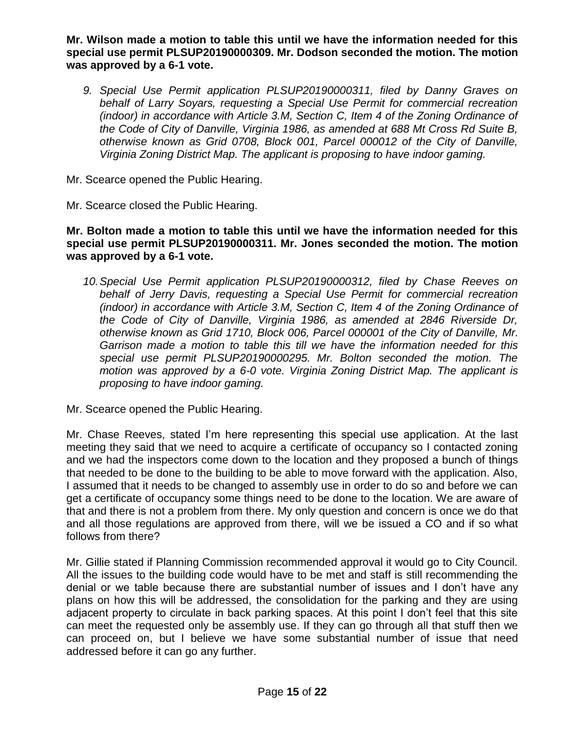**Mr. Wilson made a motion to table this until we have the information needed for this special use permit PLSUP20190000309. Mr. Dodson seconded the motion. The motion was approved by a 6-1 vote.**

*9. Special Use Permit application PLSUP20190000311, filed by Danny Graves on behalf of Larry Soyars, requesting a Special Use Permit for commercial recreation (indoor) in accordance with Article 3.M, Section C, Item 4 of the Zoning Ordinance of the Code of City of Danville, Virginia 1986, as amended at 688 Mt Cross Rd Suite B, otherwise known as Grid 0708, Block 001, Parcel 000012 of the City of Danville, Virginia Zoning District Map. The applicant is proposing to have indoor gaming.*

Mr. Scearce opened the Public Hearing.

Mr. Scearce closed the Public Hearing.

### **Mr. Bolton made a motion to table this until we have the information needed for this special use permit PLSUP20190000311. Mr. Jones seconded the motion. The motion was approved by a 6-1 vote.**

*10.Special Use Permit application PLSUP20190000312, filed by Chase Reeves on behalf of Jerry Davis, requesting a Special Use Permit for commercial recreation (indoor) in accordance with Article 3.M, Section C, Item 4 of the Zoning Ordinance of the Code of City of Danville, Virginia 1986, as amended at 2846 Riverside Dr, otherwise known as Grid 1710, Block 006, Parcel 000001 of the City of Danville, Mr. Garrison made a motion to table this till we have the information needed for this special use permit PLSUP20190000295. Mr. Bolton seconded the motion. The motion was approved by a 6-0 vote. Virginia Zoning District Map. The applicant is proposing to have indoor gaming.*

Mr. Scearce opened the Public Hearing.

Mr. Chase Reeves, stated I'm here representing this special use application. At the last meeting they said that we need to acquire a certificate of occupancy so I contacted zoning and we had the inspectors come down to the location and they proposed a bunch of things that needed to be done to the building to be able to move forward with the application. Also, I assumed that it needs to be changed to assembly use in order to do so and before we can get a certificate of occupancy some things need to be done to the location. We are aware of that and there is not a problem from there. My only question and concern is once we do that and all those regulations are approved from there, will we be issued a CO and if so what follows from there?

Mr. Gillie stated if Planning Commission recommended approval it would go to City Council. All the issues to the building code would have to be met and staff is still recommending the denial or we table because there are substantial number of issues and I don't have any plans on how this will be addressed, the consolidation for the parking and they are using adjacent property to circulate in back parking spaces. At this point I don't feel that this site can meet the requested only be assembly use. If they can go through all that stuff then we can proceed on, but I believe we have some substantial number of issue that need addressed before it can go any further.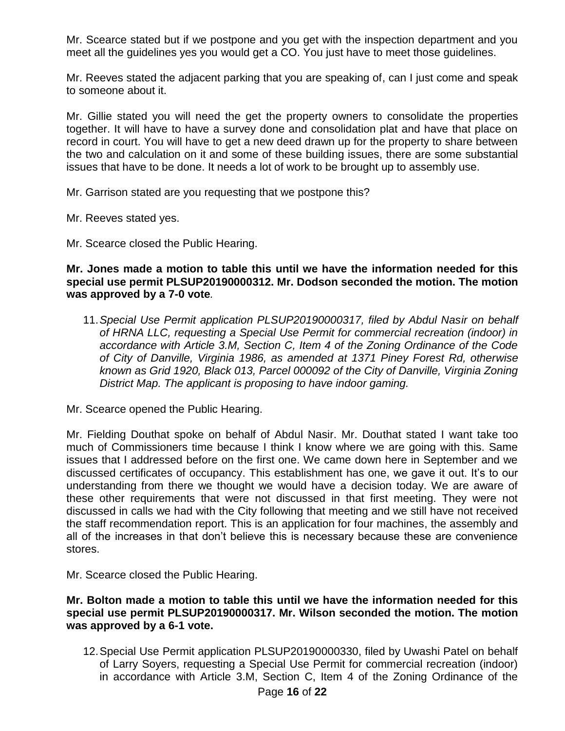Mr. Scearce stated but if we postpone and you get with the inspection department and you meet all the guidelines yes you would get a CO. You just have to meet those guidelines.

Mr. Reeves stated the adjacent parking that you are speaking of, can I just come and speak to someone about it.

Mr. Gillie stated you will need the get the property owners to consolidate the properties together. It will have to have a survey done and consolidation plat and have that place on record in court. You will have to get a new deed drawn up for the property to share between the two and calculation on it and some of these building issues, there are some substantial issues that have to be done. It needs a lot of work to be brought up to assembly use.

Mr. Garrison stated are you requesting that we postpone this?

Mr. Reeves stated yes.

Mr. Scearce closed the Public Hearing.

#### **Mr. Jones made a motion to table this until we have the information needed for this special use permit PLSUP20190000312. Mr. Dodson seconded the motion. The motion was approved by a 7-0 vote***.*

11.*Special Use Permit application PLSUP20190000317, filed by Abdul Nasir on behalf of HRNA LLC, requesting a Special Use Permit for commercial recreation (indoor) in accordance with Article 3.M, Section C, Item 4 of the Zoning Ordinance of the Code of City of Danville, Virginia 1986, as amended at 1371 Piney Forest Rd, otherwise known as Grid 1920, Black 013, Parcel 000092 of the City of Danville, Virginia Zoning District Map. The applicant is proposing to have indoor gaming.*

Mr. Scearce opened the Public Hearing.

Mr. Fielding Douthat spoke on behalf of Abdul Nasir. Mr. Douthat stated I want take too much of Commissioners time because I think I know where we are going with this. Same issues that I addressed before on the first one. We came down here in September and we discussed certificates of occupancy. This establishment has one, we gave it out. It's to our understanding from there we thought we would have a decision today. We are aware of these other requirements that were not discussed in that first meeting. They were not discussed in calls we had with the City following that meeting and we still have not received the staff recommendation report. This is an application for four machines, the assembly and all of the increases in that don't believe this is necessary because these are convenience stores.

Mr. Scearce closed the Public Hearing.

#### **Mr. Bolton made a motion to table this until we have the information needed for this special use permit PLSUP20190000317. Mr. Wilson seconded the motion. The motion was approved by a 6-1 vote.**

12.Special Use Permit application PLSUP20190000330, filed by Uwashi Patel on behalf of Larry Soyers, requesting a Special Use Permit for commercial recreation (indoor) in accordance with Article 3.M, Section C, Item 4 of the Zoning Ordinance of the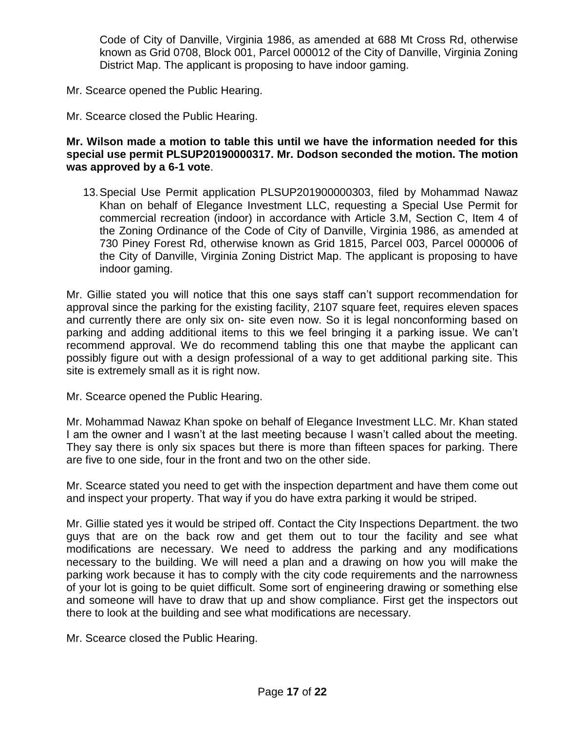Code of City of Danville, Virginia 1986, as amended at 688 Mt Cross Rd, otherwise known as Grid 0708, Block 001, Parcel 000012 of the City of Danville, Virginia Zoning District Map. The applicant is proposing to have indoor gaming.

- Mr. Scearce opened the Public Hearing.
- Mr. Scearce closed the Public Hearing.

#### **Mr. Wilson made a motion to table this until we have the information needed for this special use permit PLSUP20190000317. Mr. Dodson seconded the motion. The motion was approved by a 6-1 vote**.

13.Special Use Permit application PLSUP201900000303, filed by Mohammad Nawaz Khan on behalf of Elegance Investment LLC, requesting a Special Use Permit for commercial recreation (indoor) in accordance with Article 3.M, Section C, Item 4 of the Zoning Ordinance of the Code of City of Danville, Virginia 1986, as amended at 730 Piney Forest Rd, otherwise known as Grid 1815, Parcel 003, Parcel 000006 of the City of Danville, Virginia Zoning District Map. The applicant is proposing to have indoor gaming.

Mr. Gillie stated you will notice that this one says staff can't support recommendation for approval since the parking for the existing facility, 2107 square feet, requires eleven spaces and currently there are only six on- site even now. So it is legal nonconforming based on parking and adding additional items to this we feel bringing it a parking issue. We can't recommend approval. We do recommend tabling this one that maybe the applicant can possibly figure out with a design professional of a way to get additional parking site. This site is extremely small as it is right now.

Mr. Scearce opened the Public Hearing.

Mr. Mohammad Nawaz Khan spoke on behalf of Elegance Investment LLC. Mr. Khan stated I am the owner and I wasn't at the last meeting because I wasn't called about the meeting. They say there is only six spaces but there is more than fifteen spaces for parking. There are five to one side, four in the front and two on the other side.

Mr. Scearce stated you need to get with the inspection department and have them come out and inspect your property. That way if you do have extra parking it would be striped.

Mr. Gillie stated yes it would be striped off. Contact the City Inspections Department. the two guys that are on the back row and get them out to tour the facility and see what modifications are necessary. We need to address the parking and any modifications necessary to the building. We will need a plan and a drawing on how you will make the parking work because it has to comply with the city code requirements and the narrowness of your lot is going to be quiet difficult. Some sort of engineering drawing or something else and someone will have to draw that up and show compliance. First get the inspectors out there to look at the building and see what modifications are necessary.

Mr. Scearce closed the Public Hearing.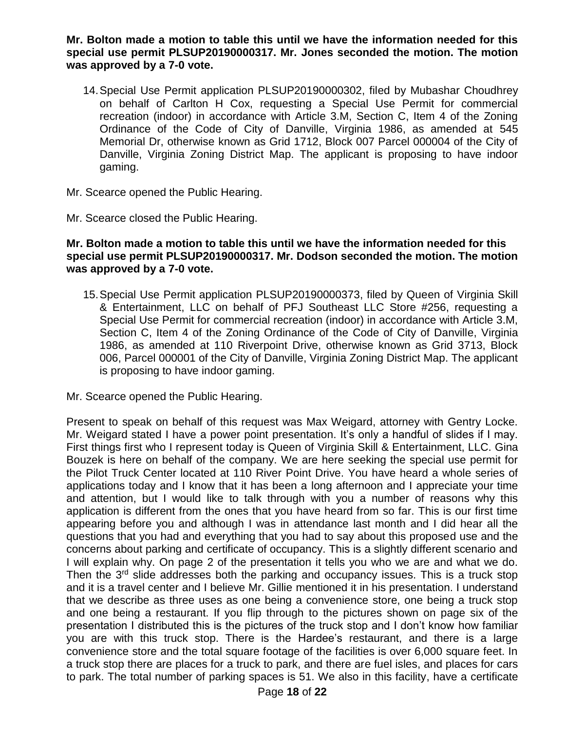**Mr. Bolton made a motion to table this until we have the information needed for this special use permit PLSUP20190000317. Mr. Jones seconded the motion. The motion was approved by a 7-0 vote.**

14.Special Use Permit application PLSUP20190000302, filed by Mubashar Choudhrey on behalf of Carlton H Cox, requesting a Special Use Permit for commercial recreation (indoor) in accordance with Article 3.M, Section C, Item 4 of the Zoning Ordinance of the Code of City of Danville, Virginia 1986, as amended at 545 Memorial Dr, otherwise known as Grid 1712, Block 007 Parcel 000004 of the City of Danville, Virginia Zoning District Map. The applicant is proposing to have indoor gaming.

Mr. Scearce opened the Public Hearing.

Mr. Scearce closed the Public Hearing.

#### **Mr. Bolton made a motion to table this until we have the information needed for this special use permit PLSUP20190000317. Mr. Dodson seconded the motion. The motion was approved by a 7-0 vote.**

15.Special Use Permit application PLSUP20190000373, filed by Queen of Virginia Skill & Entertainment, LLC on behalf of PFJ Southeast LLC Store #256, requesting a Special Use Permit for commercial recreation (indoor) in accordance with Article 3.M, Section C, Item 4 of the Zoning Ordinance of the Code of City of Danville, Virginia 1986, as amended at 110 Riverpoint Drive, otherwise known as Grid 3713, Block 006, Parcel 000001 of the City of Danville, Virginia Zoning District Map. The applicant is proposing to have indoor gaming.

Mr. Scearce opened the Public Hearing.

Present to speak on behalf of this request was Max Weigard, attorney with Gentry Locke. Mr. Weigard stated I have a power point presentation. It's only a handful of slides if I may. First things first who I represent today is Queen of Virginia Skill & Entertainment, LLC. Gina Bouzek is here on behalf of the company. We are here seeking the special use permit for the Pilot Truck Center located at 110 River Point Drive. You have heard a whole series of applications today and I know that it has been a long afternoon and I appreciate your time and attention, but I would like to talk through with you a number of reasons why this application is different from the ones that you have heard from so far. This is our first time appearing before you and although I was in attendance last month and I did hear all the questions that you had and everything that you had to say about this proposed use and the concerns about parking and certificate of occupancy. This is a slightly different scenario and I will explain why. On page 2 of the presentation it tells you who we are and what we do. Then the  $3<sup>rd</sup>$  slide addresses both the parking and occupancy issues. This is a truck stop and it is a travel center and I believe Mr. Gillie mentioned it in his presentation. I understand that we describe as three uses as one being a convenience store, one being a truck stop and one being a restaurant. If you flip through to the pictures shown on page six of the presentation I distributed this is the pictures of the truck stop and I don't know how familiar you are with this truck stop. There is the Hardee's restaurant, and there is a large convenience store and the total square footage of the facilities is over 6,000 square feet. In a truck stop there are places for a truck to park, and there are fuel isles, and places for cars to park. The total number of parking spaces is 51. We also in this facility, have a certificate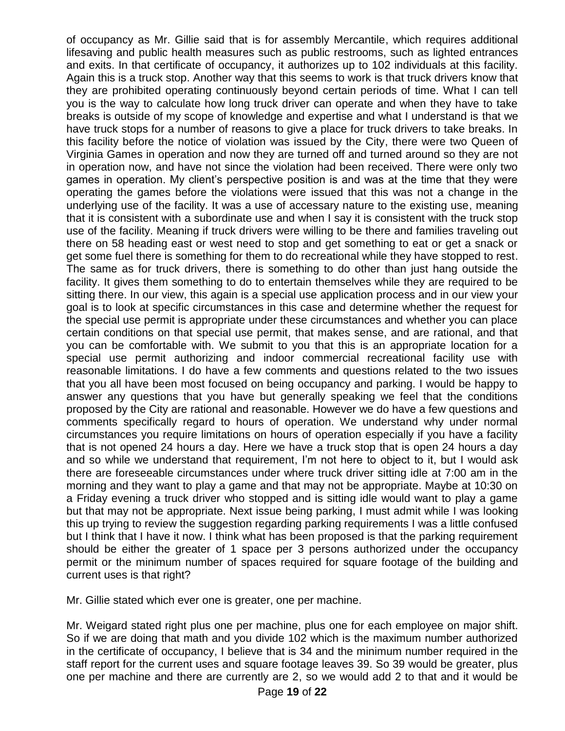of occupancy as Mr. Gillie said that is for assembly Mercantile, which requires additional lifesaving and public health measures such as public restrooms, such as lighted entrances and exits. In that certificate of occupancy, it authorizes up to 102 individuals at this facility. Again this is a truck stop. Another way that this seems to work is that truck drivers know that they are prohibited operating continuously beyond certain periods of time. What I can tell you is the way to calculate how long truck driver can operate and when they have to take breaks is outside of my scope of knowledge and expertise and what I understand is that we have truck stops for a number of reasons to give a place for truck drivers to take breaks. In this facility before the notice of violation was issued by the City, there were two Queen of Virginia Games in operation and now they are turned off and turned around so they are not in operation now, and have not since the violation had been received. There were only two games in operation. My client's perspective position is and was at the time that they were operating the games before the violations were issued that this was not a change in the underlying use of the facility. It was a use of accessary nature to the existing use, meaning that it is consistent with a subordinate use and when I say it is consistent with the truck stop use of the facility. Meaning if truck drivers were willing to be there and families traveling out there on 58 heading east or west need to stop and get something to eat or get a snack or get some fuel there is something for them to do recreational while they have stopped to rest. The same as for truck drivers, there is something to do other than just hang outside the facility. It gives them something to do to entertain themselves while they are required to be sitting there. In our view, this again is a special use application process and in our view your goal is to look at specific circumstances in this case and determine whether the request for the special use permit is appropriate under these circumstances and whether you can place certain conditions on that special use permit, that makes sense, and are rational, and that you can be comfortable with. We submit to you that this is an appropriate location for a special use permit authorizing and indoor commercial recreational facility use with reasonable limitations. I do have a few comments and questions related to the two issues that you all have been most focused on being occupancy and parking. I would be happy to answer any questions that you have but generally speaking we feel that the conditions proposed by the City are rational and reasonable. However we do have a few questions and comments specifically regard to hours of operation. We understand why under normal circumstances you require limitations on hours of operation especially if you have a facility that is not opened 24 hours a day. Here we have a truck stop that is open 24 hours a day and so while we understand that requirement, I'm not here to object to it, but I would ask there are foreseeable circumstances under where truck driver sitting idle at 7:00 am in the morning and they want to play a game and that may not be appropriate. Maybe at 10:30 on a Friday evening a truck driver who stopped and is sitting idle would want to play a game but that may not be appropriate. Next issue being parking, I must admit while I was looking this up trying to review the suggestion regarding parking requirements I was a little confused but I think that I have it now. I think what has been proposed is that the parking requirement should be either the greater of 1 space per 3 persons authorized under the occupancy permit or the minimum number of spaces required for square footage of the building and current uses is that right?

Mr. Gillie stated which ever one is greater, one per machine.

Mr. Weigard stated right plus one per machine, plus one for each employee on major shift. So if we are doing that math and you divide 102 which is the maximum number authorized in the certificate of occupancy, I believe that is 34 and the minimum number required in the staff report for the current uses and square footage leaves 39. So 39 would be greater, plus one per machine and there are currently are 2, so we would add 2 to that and it would be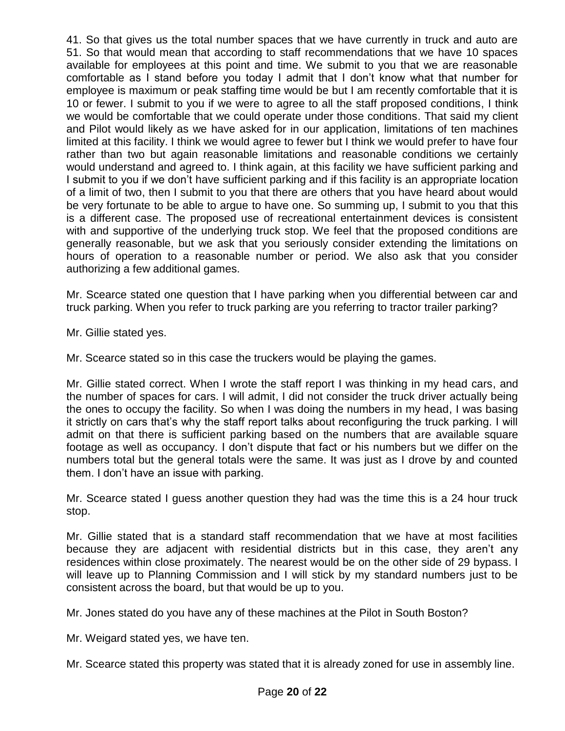41. So that gives us the total number spaces that we have currently in truck and auto are 51. So that would mean that according to staff recommendations that we have 10 spaces available for employees at this point and time. We submit to you that we are reasonable comfortable as I stand before you today I admit that I don't know what that number for employee is maximum or peak staffing time would be but I am recently comfortable that it is 10 or fewer. I submit to you if we were to agree to all the staff proposed conditions, I think we would be comfortable that we could operate under those conditions. That said my client and Pilot would likely as we have asked for in our application, limitations of ten machines limited at this facility. I think we would agree to fewer but I think we would prefer to have four rather than two but again reasonable limitations and reasonable conditions we certainly would understand and agreed to. I think again, at this facility we have sufficient parking and I submit to you if we don't have sufficient parking and if this facility is an appropriate location of a limit of two, then I submit to you that there are others that you have heard about would be very fortunate to be able to argue to have one. So summing up, I submit to you that this is a different case. The proposed use of recreational entertainment devices is consistent with and supportive of the underlying truck stop. We feel that the proposed conditions are generally reasonable, but we ask that you seriously consider extending the limitations on hours of operation to a reasonable number or period. We also ask that you consider authorizing a few additional games.

Mr. Scearce stated one question that I have parking when you differential between car and truck parking. When you refer to truck parking are you referring to tractor trailer parking?

Mr. Gillie stated yes.

Mr. Scearce stated so in this case the truckers would be playing the games.

Mr. Gillie stated correct. When I wrote the staff report I was thinking in my head cars, and the number of spaces for cars. I will admit, I did not consider the truck driver actually being the ones to occupy the facility. So when I was doing the numbers in my head, I was basing it strictly on cars that's why the staff report talks about reconfiguring the truck parking. I will admit on that there is sufficient parking based on the numbers that are available square footage as well as occupancy. I don't dispute that fact or his numbers but we differ on the numbers total but the general totals were the same. It was just as I drove by and counted them. I don't have an issue with parking.

Mr. Scearce stated I guess another question they had was the time this is a 24 hour truck stop.

Mr. Gillie stated that is a standard staff recommendation that we have at most facilities because they are adjacent with residential districts but in this case, they aren't any residences within close proximately. The nearest would be on the other side of 29 bypass. I will leave up to Planning Commission and I will stick by my standard numbers just to be consistent across the board, but that would be up to you.

Mr. Jones stated do you have any of these machines at the Pilot in South Boston?

Mr. Weigard stated yes, we have ten.

Mr. Scearce stated this property was stated that it is already zoned for use in assembly line.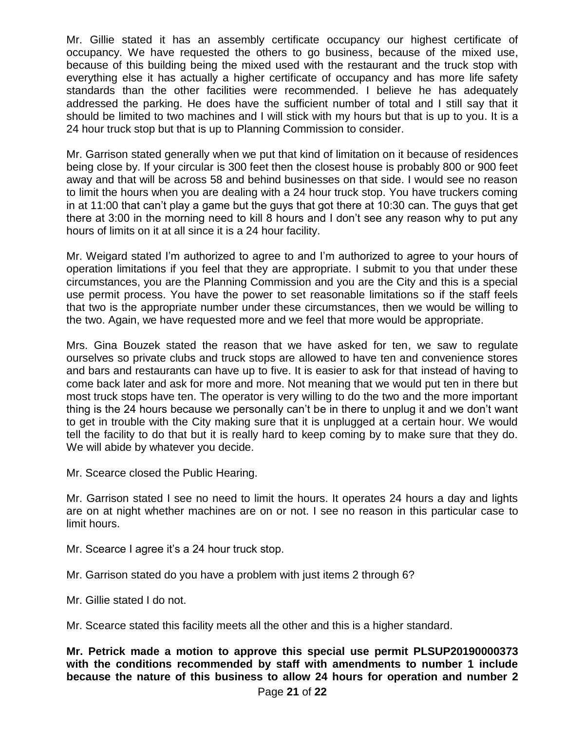Mr. Gillie stated it has an assembly certificate occupancy our highest certificate of occupancy. We have requested the others to go business, because of the mixed use, because of this building being the mixed used with the restaurant and the truck stop with everything else it has actually a higher certificate of occupancy and has more life safety standards than the other facilities were recommended. I believe he has adequately addressed the parking. He does have the sufficient number of total and I still say that it should be limited to two machines and I will stick with my hours but that is up to you. It is a 24 hour truck stop but that is up to Planning Commission to consider.

Mr. Garrison stated generally when we put that kind of limitation on it because of residences being close by. If your circular is 300 feet then the closest house is probably 800 or 900 feet away and that will be across 58 and behind businesses on that side. I would see no reason to limit the hours when you are dealing with a 24 hour truck stop. You have truckers coming in at 11:00 that can't play a game but the guys that got there at 10:30 can. The guys that get there at 3:00 in the morning need to kill 8 hours and I don't see any reason why to put any hours of limits on it at all since it is a 24 hour facility.

Mr. Weigard stated I'm authorized to agree to and I'm authorized to agree to your hours of operation limitations if you feel that they are appropriate. I submit to you that under these circumstances, you are the Planning Commission and you are the City and this is a special use permit process. You have the power to set reasonable limitations so if the staff feels that two is the appropriate number under these circumstances, then we would be willing to the two. Again, we have requested more and we feel that more would be appropriate.

Mrs. Gina Bouzek stated the reason that we have asked for ten, we saw to regulate ourselves so private clubs and truck stops are allowed to have ten and convenience stores and bars and restaurants can have up to five. It is easier to ask for that instead of having to come back later and ask for more and more. Not meaning that we would put ten in there but most truck stops have ten. The operator is very willing to do the two and the more important thing is the 24 hours because we personally can't be in there to unplug it and we don't want to get in trouble with the City making sure that it is unplugged at a certain hour. We would tell the facility to do that but it is really hard to keep coming by to make sure that they do. We will abide by whatever you decide.

Mr. Scearce closed the Public Hearing.

Mr. Garrison stated I see no need to limit the hours. It operates 24 hours a day and lights are on at night whether machines are on or not. I see no reason in this particular case to limit hours.

Mr. Scearce I agree it's a 24 hour truck stop.

Mr. Garrison stated do you have a problem with just items 2 through 6?

Mr. Gillie stated I do not.

Mr. Scearce stated this facility meets all the other and this is a higher standard.

**Mr. Petrick made a motion to approve this special use permit PLSUP20190000373 with the conditions recommended by staff with amendments to number 1 include because the nature of this business to allow 24 hours for operation and number 2**